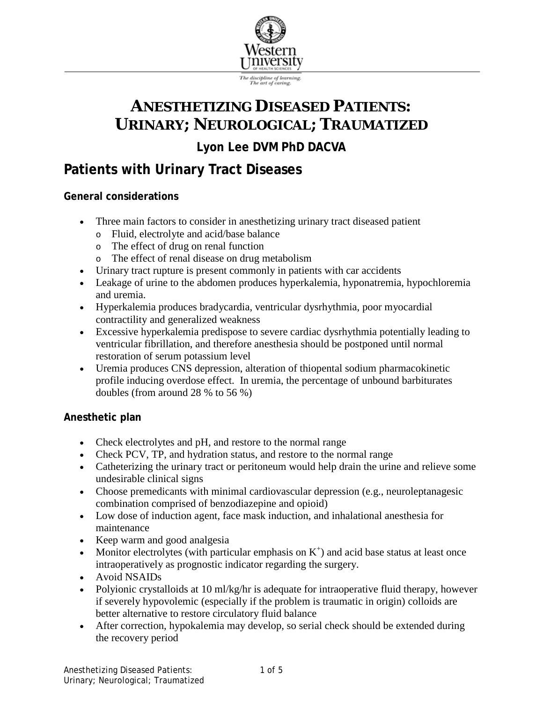

# **ANESTHETIZING DISEASED PATIENTS: URINARY; NEUROLOGICAL; TRAUMATIZED**

**Lyon Lee DVM PhD DACVA**

# **Patients with Urinary Tract Diseases**

### **General considerations**

- Three main factors to consider in anesthetizing urinary tract diseased patient
	- o Fluid, electrolyte and acid/base balance
	- o The effect of drug on renal function
	- o The effect of renal disease on drug metabolism
- Urinary tract rupture is present commonly in patients with car accidents
- Leakage of urine to the abdomen produces hyperkalemia, hyponatremia, hypochloremia and uremia.
- Hyperkalemia produces bradycardia, ventricular dysrhythmia, poor myocardial contractility and generalized weakness
- Excessive hyperkalemia predispose to severe cardiac dysrhythmia potentially leading to ventricular fibrillation, and therefore anesthesia should be postponed until normal restoration of serum potassium level
- Uremia produces CNS depression, alteration of thiopental sodium pharmacokinetic profile inducing overdose effect. In uremia, the percentage of unbound barbiturates doubles (from around 28 % to 56 %)

#### **Anesthetic plan**

- Check electrolytes and pH, and restore to the normal range
- Check PCV, TP, and hydration status, and restore to the normal range
- Catheterizing the urinary tract or peritoneum would help drain the urine and relieve some undesirable clinical signs
- Choose premedicants with minimal cardiovascular depression (e.g., neuroleptanagesic combination comprised of benzodiazepine and opioid)
- Low dose of induction agent, face mask induction, and inhalational anesthesia for maintenance
- Keep warm and good analgesia
- Monitor electrolytes (with particular emphasis on  $K^+$ ) and acid base status at least once intraoperatively as prognostic indicator regarding the surgery.
- Avoid NSAIDs
- Polyionic crystalloids at 10 ml/kg/hr is adequate for intraoperative fluid therapy, however if severely hypovolemic (especially if the problem is traumatic in origin) colloids are better alternative to restore circulatory fluid balance
- After correction, hypokalemia may develop, so serial check should be extended during the recovery period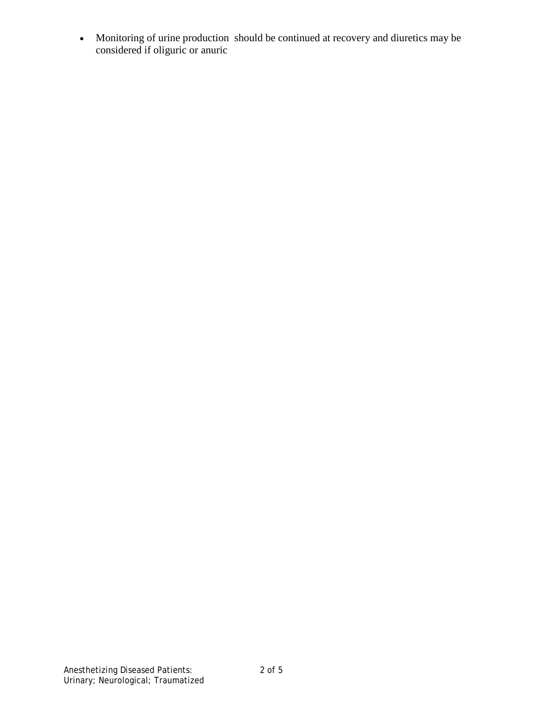• Monitoring of urine production should be continued at recovery and diuretics may be considered if oliguric or anuric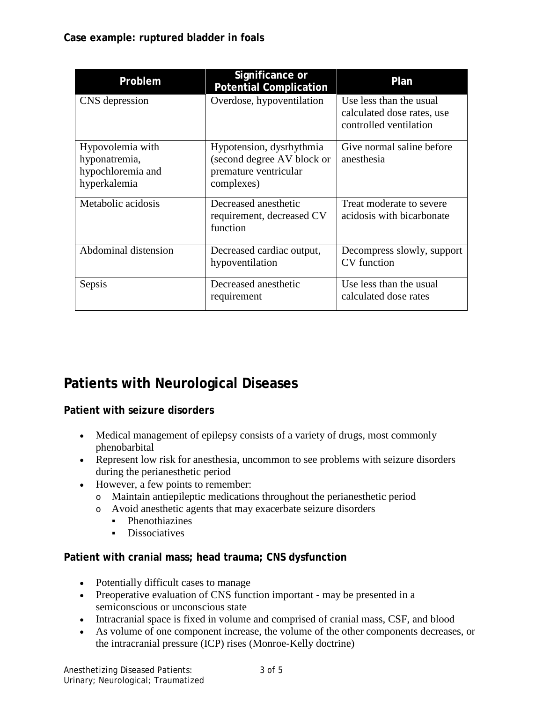| Problem                                                                | Significance or<br><b>Potential Complication</b>                                              | Plan                                                                            |
|------------------------------------------------------------------------|-----------------------------------------------------------------------------------------------|---------------------------------------------------------------------------------|
| CNS depression                                                         | Overdose, hypoventilation                                                                     | Use less than the usual<br>calculated dose rates, use<br>controlled ventilation |
| Hypovolemia with<br>hyponatremia,<br>hypochloremia and<br>hyperkalemia | Hypotension, dysrhythmia<br>(second degree AV block or<br>premature ventricular<br>complexes) | Give normal saline before<br>anesthesia                                         |
| Metabolic acidosis                                                     | Decreased anesthetic<br>requirement, decreased CV<br>function                                 | Treat moderate to severe<br>acidosis with bicarbonate                           |
| Abdominal distension                                                   | Decreased cardiac output,<br>hypoventilation                                                  | Decompress slowly, support<br>CV function                                       |
| Sepsis                                                                 | Decreased anesthetic<br>requirement                                                           | Use less than the usual<br>calculated dose rates                                |

## **Patients with Neurological Diseases**

**Patient with seizure disorders**

- Medical management of epilepsy consists of a variety of drugs, most commonly phenobarbital
- Represent low risk for anesthesia, uncommon to see problems with seizure disorders during the perianesthetic period
- However, a few points to remember:
	- o Maintain antiepileptic medications throughout the perianesthetic period
	- o Avoid anesthetic agents that may exacerbate seizure disorders
		- Phenothiazines
		- **Dissociatives**

#### **Patient with cranial mass; head trauma; CNS dysfunction**

- Potentially difficult cases to manage
- Preoperative evaluation of CNS function important may be presented in a semiconscious or unconscious state
- Intracranial space is fixed in volume and comprised of cranial mass, CSF, and blood
- As volume of one component increase, the volume of the other components decreases, or the intracranial pressure (ICP) rises (Monroe-Kelly doctrine)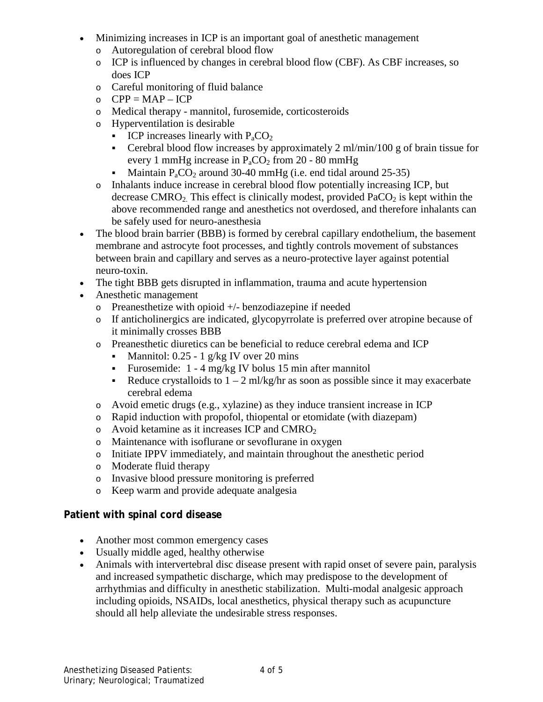- Minimizing increases in ICP is an important goal of anesthetic management
	- o Autoregulation of cerebral blood flow
	- o ICP is influenced by changes in cerebral blood flow (CBF). As CBF increases, so does ICP
	- o Careful monitoring of fluid balance
	- $O$  CPP = MAP ICP
	- o Medical therapy mannitol, furosemide, corticosteroids
	- o Hyperventilation is desirable
		- **ICP** increases linearly with  $P_aCO_2$
		- Cerebral blood flow increases by approximately 2 ml/min/100 g of brain tissue for every 1 mmHg increase in  $P_aCO_2$  from 20 - 80 mmHg
		- Maintain  $P_aCO_2$  around 30-40 mmHg (i.e. end tidal around 25-35)
	- o Inhalants induce increase in cerebral blood flow potentially increasing ICP, but decrease CMRO<sub>2</sub>. This effect is clinically modest, provided  $PaCO<sub>2</sub>$  is kept within the above recommended range and anesthetics not overdosed, and therefore inhalants can be safely used for neuro-anesthesia
- The blood brain barrier (BBB) is formed by cerebral capillary endothelium, the basement membrane and astrocyte foot processes, and tightly controls movement of substances between brain and capillary and serves as a neuro-protective layer against potential neuro-toxin.
- The tight BBB gets disrupted in inflammation, trauma and acute hypertension
- Anesthetic management
	- o Preanesthetize with opioid +/- benzodiazepine if needed
	- o If anticholinergics are indicated, glycopyrrolate is preferred over atropine because of it minimally crosses BBB
	- o Preanesthetic diuretics can be beneficial to reduce cerebral edema and ICP
		- Mannitol:  $0.25 1$  g/kg IV over 20 mins
		- Furosemide:  $1 4$  mg/kg IV bolus 15 min after mannitol
		- Reduce crystalloids to  $1 2$  ml/kg/hr as soon as possible since it may exacerbate cerebral edema
	- o Avoid emetic drugs (e.g., xylazine) as they induce transient increase in ICP
	- o Rapid induction with propofol, thiopental or etomidate (with diazepam)
	- o Avoid ketamine as it increases ICP and CMRO<sub>2</sub>
	- o Maintenance with isoflurane or sevoflurane in oxygen
	- o Initiate IPPV immediately, and maintain throughout the anesthetic period
	- o Moderate fluid therapy
	- o Invasive blood pressure monitoring is preferred
	- o Keep warm and provide adequate analgesia

### **Patient with spinal cord disease**

- Another most common emergency cases
- Usually middle aged, healthy otherwise
- Animals with intervertebral disc disease present with rapid onset of severe pain, paralysis and increased sympathetic discharge, which may predispose to the development of arrhythmias and difficulty in anesthetic stabilization. Multi-modal analgesic approach including opioids, NSAIDs, local anesthetics, physical therapy such as acupuncture should all help alleviate the undesirable stress responses.